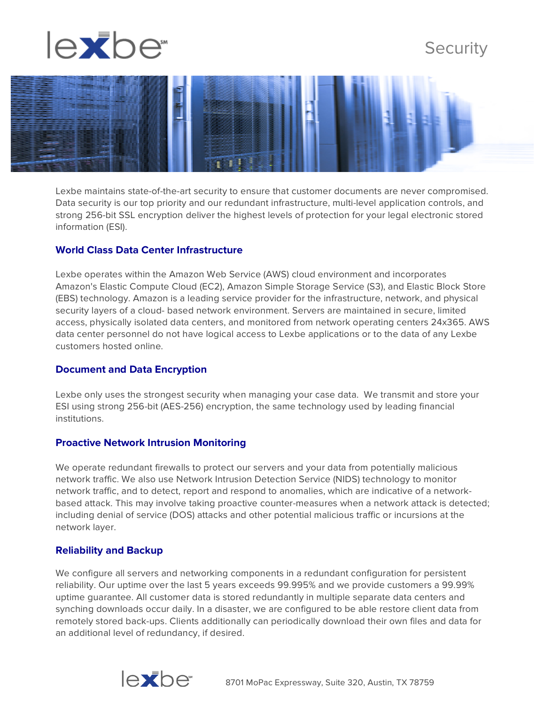

# **Security**



Lexbe maintains state-of-the-art security to ensure that customer documents are never compromised. Data security is our top priority and our redundant infrastructure, multi-level application controls, and strong 256-bit SSL encryption deliver the highest levels of protection for your legal electronic stored information (ESI).

### **World Class Data Center Infrastructure**

Lexbe operates within the Amazon Web Service (AWS) cloud environment and incorporates Amazon's Elastic Compute Cloud (EC2), Amazon Simple Storage Service (S3), and Elastic Block Store (EBS) technology. Amazon is a leading service provider for the infrastructure, network, and physical security layers of a cloud- based network environment. Servers are maintained in secure, limited access, physically isolated data centers, and monitored from network operating centers 24x365. AWS data center personnel do not have logical access to Lexbe applications or to the data of any Lexbe customers hosted online.

#### **Document and Data Encryption**

Lexbe only uses the strongest security when managing your case data. We transmit and store your ESI using strong 256-bit (AES-256) encryption, the same technology used by leading financial institutions.

#### **Proactive Network Intrusion Monitoring**

We operate redundant firewalls to protect our servers and your data from potentially malicious network traffic. We also use Network Intrusion Detection Service (NIDS) technology to monitor network traffic, and to detect, report and respond to anomalies, which are indicative of a networkbased attack. This may involve taking proactive counter-measures when a network attack is detected; including denial of service (DOS) attacks and other potential malicious traffic or incursions at the network layer.

#### **Reliability and Backup**

We configure all servers and networking components in a redundant configuration for persistent reliability. Our uptime over the last 5 years exceeds 99.995% and we provide customers a 99.99% uptime guarantee. All customer data is stored redundantly in multiple separate data centers and synching downloads occur daily. In a disaster, we are configured to be able restore client data from remotely stored back-ups. Clients additionally can periodically download their own files and data for an additional level of redundancy, if desired.